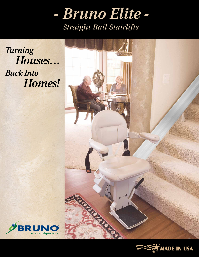

*Turning Houses… Back Into Homes!*





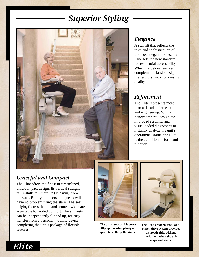# *Superior Styling*



## *Elegance*

A stairlift that reflects the taste and sophistication of the most elegant homes, the Elite sets the new standard for residential accessibility. When marvelous features complement classic design, the result is uncompromising quality.

# *Refinement*

The Elite represents more than a decade of research and engineering. With a honeycomb rail design for improved stability, and visual coded diagnostics to instantly analyze the unit's operational status, the Elite is the definition of form and function.

# *Graceful and Compact*

The Elite offers the finest in streamlined, ultra-compact design. Its vertical straight rail installs to within 6" (152 mm) from the wall. Family members and guests will have no problem using the stairs. The seat height, footrest height and armrest width are adjustable for added comfort. The armrests can be independently flipped up, for easy transfer from a personal mobility device, completing the unit's package of flexible features.



**The arms, seat and footrest flip up, creating plenty of space to walk up the stairs.**



**The Elite's hidden, rack-andpinion drive system provides a smooth ride, without hesitation, when the unit stops and starts.**

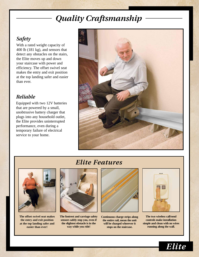# *Quality Craftsmanship*

# *Safety*

With a rated weight capacity of 400 lb (181 kg), and sensors that detect any obstacles on the stairs, the Elite moves up and down your staircase with power and efficiency. The offset swivel seat makes the entry and exit position at the top landing safer and easier than ever.

## *Reliable*

Equipped with two 12V batteries that are powered by a small, unobtrusive battery charger that plugs into any household outlet, the Elite provides uninterrupted performance, even during a temporary failure of electrical service to your home.



# *Elite Features*



**The offset swivel seat makes the entry and exit position at the top landing safer and easier than ever!**



**The footrest and carriage safety sensors safely stop you, even if the slightest obstacle is in the way while you ride!**



**Continuous charge strips along the entire rail, mean the unit will be charged wherever it stops on the staircase.**



**The two wireless call/send controls make installation simple and clean with no wires running along the wall.**